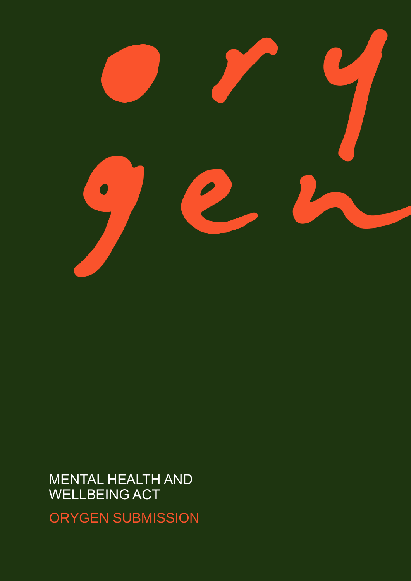

MENTAL HEALTH AND WELLBEING ACT

ORYGEN SUBMISSION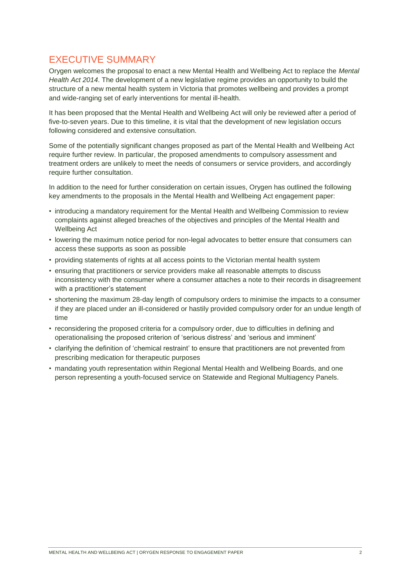# EXECUTIVE SUMMARY

Orygen welcomes the proposal to enact a new Mental Health and Wellbeing Act to replace the *Mental Health Act 2014*. The development of a new legislative regime provides an opportunity to build the structure of a new mental health system in Victoria that promotes wellbeing and provides a prompt and wide-ranging set of early interventions for mental ill-health.

It has been proposed that the Mental Health and Wellbeing Act will only be reviewed after a period of five-to-seven years. Due to this timeline, it is vital that the development of new legislation occurs following considered and extensive consultation.

Some of the potentially significant changes proposed as part of the Mental Health and Wellbeing Act require further review. In particular, the proposed amendments to compulsory assessment and treatment orders are unlikely to meet the needs of consumers or service providers, and accordingly require further consultation.

In addition to the need for further consideration on certain issues, Orygen has outlined the following key amendments to the proposals in the Mental Health and Wellbeing Act engagement paper:

- introducing a mandatory requirement for the Mental Health and Wellbeing Commission to review complaints against alleged breaches of the objectives and principles of the Mental Health and Wellbeing Act
- lowering the maximum notice period for non-legal advocates to better ensure that consumers can access these supports as soon as possible
- providing statements of rights at all access points to the Victorian mental health system
- ensuring that practitioners or service providers make all reasonable attempts to discuss inconsistency with the consumer where a consumer attaches a note to their records in disagreement with a practitioner's statement
- shortening the maximum 28-day length of compulsory orders to minimise the impacts to a consumer if they are placed under an ill-considered or hastily provided compulsory order for an undue length of time
- reconsidering the proposed criteria for a compulsory order, due to difficulties in defining and operationalising the proposed criterion of 'serious distress' and 'serious and imminent'
- clarifying the definition of 'chemical restraint' to ensure that practitioners are not prevented from prescribing medication for therapeutic purposes
- mandating youth representation within Regional Mental Health and Wellbeing Boards, and one person representing a youth-focused service on Statewide and Regional Multiagency Panels.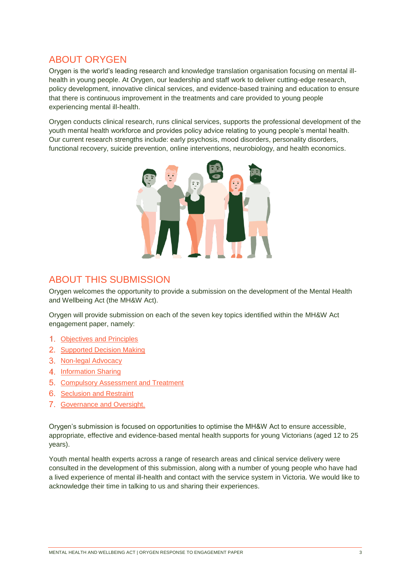# ABOUT ORYGEN

Orygen is the world's leading research and knowledge translation organisation focusing on mental illhealth in young people. At Orygen, our leadership and staff work to deliver cutting-edge research, policy development, innovative clinical services, and evidence-based training and education to ensure that there is continuous improvement in the treatments and care provided to young people experiencing mental ill-health.

Orygen conducts clinical research, runs clinical services, supports the professional development of the youth mental health workforce and provides policy advice relating to young people's mental health. Our current research strengths include: early psychosis, mood disorders, personality disorders, functional recovery, suicide prevention, online interventions, neurobiology, and health economics.



# ABOUT THIS SUBMISSION

Orygen welcomes the opportunity to provide a submission on the development of the Mental Health and Wellbeing Act (the MH&W Act).

Orygen will provide submission on each of the seven key topics identified within the MH&W Act engagement paper, namely:

- 1. [Objectives and Principles](#page-3-0)
- 2. [Supported Decision Making](#page-9-0)
- 3. [Non-legal Advocacy](#page-13-0)
- 4. [Information Sharing](#page-13-0)
- 5. [Compulsory Assessment and Treatment](#page-15-0)
- 6. [Seclusion and Restraint](#page-22-0)
- 7. Governance and Oversight.

Orygen's submission is focused on opportunities to optimise the MH&W Act to ensure accessible, appropriate, effective and evidence-based mental health supports for young Victorians (aged 12 to 25 years).

Youth mental health experts across a range of research areas and clinical service delivery were consulted in the development of this submission, along with a number of young people who have had a lived experience of mental ill-health and contact with the service system in Victoria. We would like to acknowledge their time in talking to us and sharing their experiences.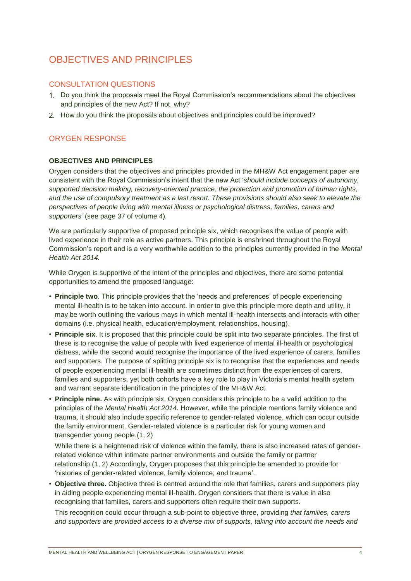# <span id="page-3-0"></span>OBJECTIVES AND PRINCIPLES

# CONSULTATION QUESTIONS

- Do you think the proposals meet the Royal Commission's recommendations about the objectives and principles of the new Act? If not, why?
- 2. How do you think the proposals about objectives and principles could be improved?

# ORYGEN RESPONSE

## **OBJECTIVES AND PRINCIPLES**

Orygen considers that the objectives and principles provided in the MH&W Act engagement paper are consistent with the Royal Commission's intent that the new Act '*should include concepts of autonomy, supported decision making, recovery-oriented practice, the protection and promotion of human rights, and the use of compulsory treatment as a last resort. These provisions should also seek to elevate the perspectives of people living with mental illness or psychological distress, families, carers and supporters'* (see page 37 of volume 4)*.*

We are particularly supportive of proposed principle six, which recognises the value of people with lived experience in their role as active partners. This principle is enshrined throughout the Royal Commission's report and is a very worthwhile addition to the principles currently provided in the *Mental Health Act 2014.*

While Orygen is supportive of the intent of the principles and objectives, there are some potential opportunities to amend the proposed language:

- **Principle two**. This principle provides that the 'needs and preferences' of people experiencing mental ill-health is to be taken into account. In order to give this principle more depth and utility, it may be worth outlining the various mays in which mental ill-health intersects and interacts with other domains (i.e. physical health, education/employment, relationships, housing).
- **Principle six**. It is proposed that this principle could be split into two separate principles. The first of these is to recognise the value of people with lived experience of mental ill-health or psychological distress, while the second would recognise the importance of the lived experience of carers, families and supporters. The purpose of splitting principle six is to recognise that the experiences and needs of people experiencing mental ill-health are sometimes distinct from the experiences of carers, families and supporters, yet both cohorts have a key role to play in Victoria's mental health system and warrant separate identification in the principles of the MH&W Act.
- **Principle nine.** As with principle six, Orygen considers this principle to be a valid addition to the principles of the *Mental Health Act 2014.* However, while the principle mentions family violence and trauma, it should also include specific reference to gender-related violence, which can occur outside the family environment. Gender-related violence is a particular risk for young women and transgender young people.(1, 2)

While there is a heightened risk of violence within the family, there is also increased rates of genderrelated violence within intimate partner environments and outside the family or partner relationship.(1, 2) Accordingly, Orygen proposes that this principle be amended to provide for 'histories of gender-related violence, family violence, and trauma'.

• **Objective three.** Objective three is centred around the role that families, carers and supporters play in aiding people experiencing mental ill-health. Orygen considers that there is value in also recognising that families, carers and supporters often require their own supports.

This recognition could occur through a sub-point to objective three, providing *that families, carers and supporters are provided access to a diverse mix of supports, taking into account the needs and*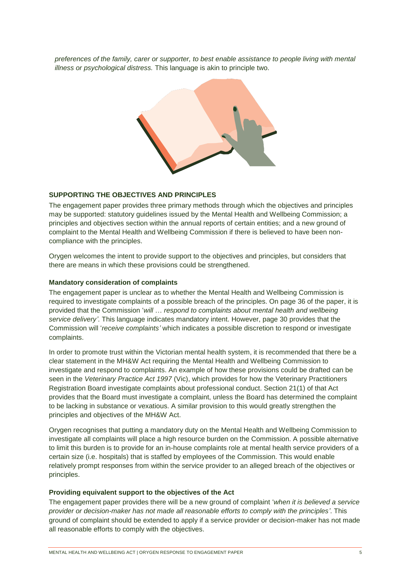*preferences of the family, carer or supporter, to best enable assistance to people living with mental illness or psychological distress.* This language is akin to principle two.



#### **SUPPORTING THE OBJECTIVES AND PRINCIPLES**

The engagement paper provides three primary methods through which the objectives and principles may be supported: statutory guidelines issued by the Mental Health and Wellbeing Commission; a principles and objectives section within the annual reports of certain entities; and a new ground of complaint to the Mental Health and Wellbeing Commission if there is believed to have been noncompliance with the principles.

Orygen welcomes the intent to provide support to the objectives and principles, but considers that there are means in which these provisions could be strengthened.

#### **Mandatory consideration of complaints**

The engagement paper is unclear as to whether the Mental Health and Wellbeing Commission is required to investigate complaints of a possible breach of the principles. On page 36 of the paper, it is provided that the Commission '*will* … *respond to complaints about mental health and wellbeing service delivery'*. This language indicates mandatory intent. However, page 30 provides that the Commission will '*receive complaints'* which indicates a possible discretion to respond or investigate complaints.

In order to promote trust within the Victorian mental health system, it is recommended that there be a clear statement in the MH&W Act requiring the Mental Health and Wellbeing Commission to investigate and respond to complaints. An example of how these provisions could be drafted can be seen in the *Veterinary Practice Act 1997* (Vic), which provides for how the Veterinary Practitioners Registration Board investigate complaints about professional conduct. Section 21(1) of that Act provides that the Board must investigate a complaint, unless the Board has determined the complaint to be lacking in substance or vexatious. A similar provision to this would greatly strengthen the principles and objectives of the MH&W Act.

Orygen recognises that putting a mandatory duty on the Mental Health and Wellbeing Commission to investigate all complaints will place a high resource burden on the Commission. A possible alternative to limit this burden is to provide for an in-house complaints role at mental health service providers of a certain size (i.e. hospitals) that is staffed by employees of the Commission. This would enable relatively prompt responses from within the service provider to an alleged breach of the objectives or principles.

#### **Providing equivalent support to the objectives of the Act**

The engagement paper provides there will be a new ground of complaint '*when it is believed a service provider or decision-maker has not made all reasonable efforts to comply with the principles'*. This ground of complaint should be extended to apply if a service provider or decision-maker has not made all reasonable efforts to comply with the objectives.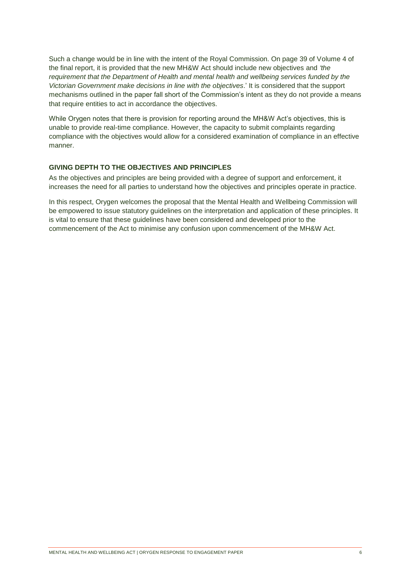Such a change would be in line with the intent of the Royal Commission. On page 39 of Volume 4 of the final report, it is provided that the new MH&W Act should include new objectives and *'the requirement that the Department of Health and mental health and wellbeing services funded by the Victorian Government make decisions in line with the objectives*.' It is considered that the support mechanisms outlined in the paper fall short of the Commission's intent as they do not provide a means that require entities to act in accordance the objectives.

While Orygen notes that there is provision for reporting around the MH&W Act's objectives, this is unable to provide real-time compliance. However, the capacity to submit complaints regarding compliance with the objectives would allow for a considered examination of compliance in an effective manner.

### **GIVING DEPTH TO THE OBJECTIVES AND PRINCIPLES**

As the objectives and principles are being provided with a degree of support and enforcement, it increases the need for all parties to understand how the objectives and principles operate in practice.

In this respect, Orygen welcomes the proposal that the Mental Health and Wellbeing Commission will be empowered to issue statutory guidelines on the interpretation and application of these principles. It is vital to ensure that these guidelines have been considered and developed prior to the commencement of the Act to minimise any confusion upon commencement of the MH&W Act.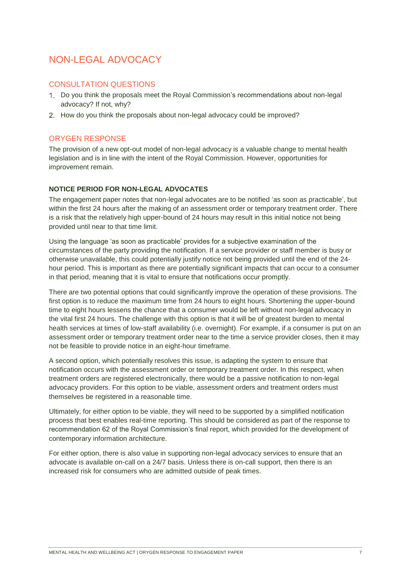# NON-LEGAL ADVOCACY

## CONSULTATION QUESTIONS

- Do you think the proposals meet the Royal Commission's recommendations about non-legal advocacy? If not, why?
- 2. How do you think the proposals about non-legal advocacy could be improved?

## ORYGEN RESPONSE

The provision of a new opt-out model of non-legal advocacy is a valuable change to mental health legislation and is in line with the intent of the Royal Commission. However, opportunities for improvement remain.

### **NOTICE PERIOD FOR NON-LEGAL ADVOCATES**

The engagement paper notes that non-legal advocates are to be notified 'as soon as practicable', but within the first 24 hours after the making of an assessment order or temporary treatment order. There is a risk that the relatively high upper-bound of 24 hours may result in this initial notice not being provided until near to that time limit.

Using the language 'as soon as practicable' provides for a subjective examination of the circumstances of the party providing the notification. If a service provider or staff member is busy or otherwise unavailable, this could potentially justify notice not being provided until the end of the 24 hour period. This is important as there are potentially significant impacts that can occur to a consumer in that period, meaning that it is vital to ensure that notifications occur promptly.

There are two potential options that could significantly improve the operation of these provisions. The first option is to reduce the maximum time from 24 hours to eight hours. Shortening the upper-bound time to eight hours lessens the chance that a consumer would be left without non-legal advocacy in the vital first 24 hours. The challenge with this option is that it will be of greatest burden to mental health services at times of low-staff availability (i.e. overnight). For example, if a consumer is put on an assessment order or temporary treatment order near to the time a service provider closes, then it may not be feasible to provide notice in an eight-hour timeframe.

A second option, which potentially resolves this issue, is adapting the system to ensure that notification occurs with the assessment order or temporary treatment order. In this respect, when treatment orders are registered electronically, there would be a passive notification to non-legal advocacy providers. For this option to be viable, assessment orders and treatment orders must themselves be registered in a reasonable time.

Ultimately, for either option to be viable, they will need to be supported by a simplified notification process that best enables real-time reporting. This should be considered as part of the response to recommendation 62 of the Royal Commission's final report, which provided for the development of contemporary information architecture.

For either option, there is also value in supporting non-legal advocacy services to ensure that an advocate is available on-call on a 24/7 basis. Unless there is on-call support, then there is an increased risk for consumers who are admitted outside of peak times.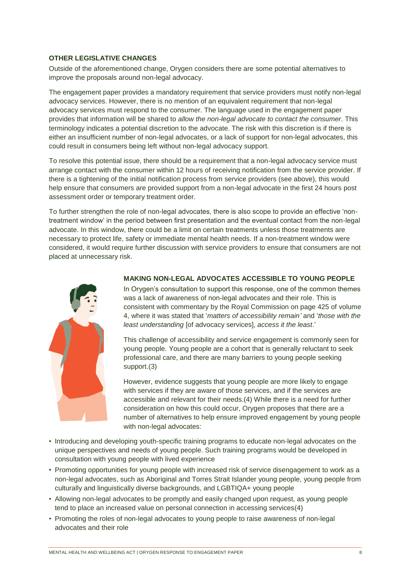### **OTHER LEGISLATIVE CHANGES**

Outside of the aforementioned change, Orygen considers there are some potential alternatives to improve the proposals around non-legal advocacy.

The engagement paper provides a mandatory requirement that service providers must notify non-legal advocacy services. However, there is no mention of an equivalent requirement that non-legal advocacy services must respond to the consumer. The language used in the engagement paper provides that information will be shared to *allow the non-legal advocate to contact the consumer*. This terminology indicates a potential discretion to the advocate. The risk with this discretion is if there is either an insufficient number of non-legal advocates, or a lack of support for non-legal advocates, this could result in consumers being left without non-legal advocacy support.

To resolve this potential issue, there should be a requirement that a non-legal advocacy service must arrange contact with the consumer within 12 hours of receiving notification from the service provider. If there is a tightening of the initial notification process from service providers (see above), this would help ensure that consumers are provided support from a non-legal advocate in the first 24 hours post assessment order or temporary treatment order.

To further strengthen the role of non-legal advocates, there is also scope to provide an effective 'nontreatment window' in the period between first presentation and the eventual contact from the non-legal advocate. In this window, there could be a limit on certain treatments unless those treatments are necessary to protect life, safety or immediate mental health needs. If a non-treatment window were considered, it would require further discussion with service providers to ensure that consumers are not placed at unnecessary risk.



#### **MAKING NON-LEGAL ADVOCATES ACCESSIBLE TO YOUNG PEOPLE**

In Orygen's consultation to support this response, one of the common themes was a lack of awareness of non-legal advocates and their role. This is consistent with commentary by the Royal Commission on page 425 of volume 4, where it was stated that '*matters of accessibility remain'* and '*those with the least understanding* [of advocacy services], *access it the least*.'

This challenge of accessibility and service engagement is commonly seen for young people. Young people are a cohort that is generally reluctant to seek professional care, and there are many barriers to young people seeking support.(3)

However, evidence suggests that young people are more likely to engage with services if they are aware of those services, and if the services are accessible and relevant for their needs.(4) While there is a need for further consideration on how this could occur, Orygen proposes that there are a number of alternatives to help ensure improved engagement by young people with non-legal advocates:

- Introducing and developing youth-specific training programs to educate non-legal advocates on the unique perspectives and needs of young people. Such training programs would be developed in consultation with young people with lived experience
- Promoting opportunities for young people with increased risk of service disengagement to work as a non-legal advocates, such as Aboriginal and Torres Strait Islander young people, young people from culturally and linguistically diverse backgrounds, and LGBTIQA+ young people
- Allowing non-legal advocates to be promptly and easily changed upon request, as young people tend to place an increased value on personal connection in accessing services(4)
- Promoting the roles of non-legal advocates to young people to raise awareness of non-legal advocates and their role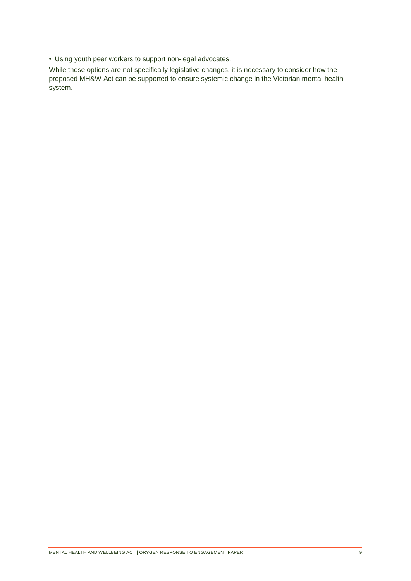• Using youth peer workers to support non-legal advocates.

While these options are not specifically legislative changes, it is necessary to consider how the proposed MH&W Act can be supported to ensure systemic change in the Victorian mental health system.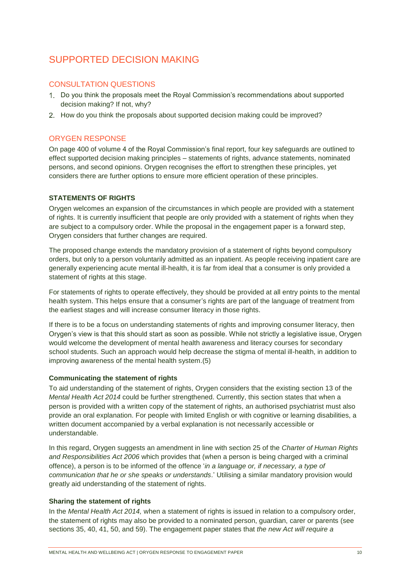# <span id="page-9-0"></span>SUPPORTED DECISION MAKING

# CONSULTATION QUESTIONS

- Do you think the proposals meet the Royal Commission's recommendations about supported decision making? If not, why?
- 2. How do you think the proposals about supported decision making could be improved?

# ORYGEN RESPONSE

On page 400 of volume 4 of the Royal Commission's final report, four key safeguards are outlined to effect supported decision making principles – statements of rights, advance statements, nominated persons, and second opinions. Orygen recognises the effort to strengthen these principles, yet considers there are further options to ensure more efficient operation of these principles.

## **STATEMENTS OF RIGHTS**

Orygen welcomes an expansion of the circumstances in which people are provided with a statement of rights. It is currently insufficient that people are only provided with a statement of rights when they are subject to a compulsory order. While the proposal in the engagement paper is a forward step, Orygen considers that further changes are required.

The proposed change extends the mandatory provision of a statement of rights beyond compulsory orders, but only to a person voluntarily admitted as an inpatient. As people receiving inpatient care are generally experiencing acute mental ill-health, it is far from ideal that a consumer is only provided a statement of rights at this stage.

For statements of rights to operate effectively, they should be provided at all entry points to the mental health system. This helps ensure that a consumer's rights are part of the language of treatment from the earliest stages and will increase consumer literacy in those rights.

If there is to be a focus on understanding statements of rights and improving consumer literacy, then Orygen's view is that this should start as soon as possible. While not strictly a legislative issue, Orygen would welcome the development of mental health awareness and literacy courses for secondary school students. Such an approach would help decrease the stigma of mental ill-health, in addition to improving awareness of the mental health system.(5)

### **Communicating the statement of rights**

To aid understanding of the statement of rights, Orygen considers that the existing section 13 of the *Mental Health Act 2014* could be further strengthened. Currently, this section states that when a person is provided with a written copy of the statement of rights, an authorised psychiatrist must also provide an oral explanation. For people with limited English or with cognitive or learning disabilities, a written document accompanied by a verbal explanation is not necessarily accessible or understandable.

In this regard, Orygen suggests an amendment in line with section 25 of the *Charter of Human Rights and Responsibilities Act 2006* which provides that (when a person is being charged with a criminal offence), a person is to be informed of the offence '*in a language or, if necessary, a type of communication that he or she speaks or understands*.' Utilising a similar mandatory provision would greatly aid understanding of the statement of rights.

### **Sharing the statement of rights**

In the *Mental Health Act 2014,* when a statement of rights is issued in relation to a compulsory order, the statement of rights may also be provided to a nominated person, guardian, carer or parents (see sections 35, 40, 41, 50, and 59). The engagement paper states that *the new Act will require a*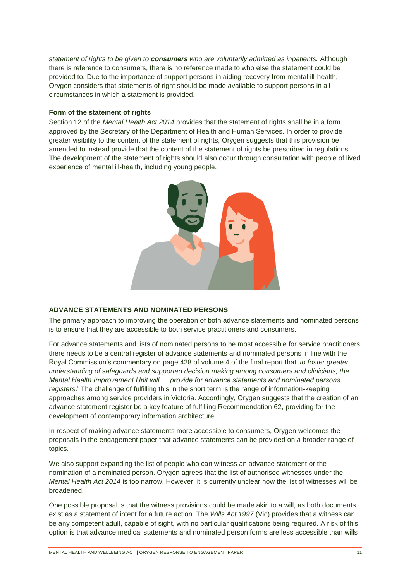*statement of rights to be given to consumers who are voluntarily admitted as inpatients.* Although there is reference to consumers, there is no reference made to who else the statement could be provided to. Due to the importance of support persons in aiding recovery from mental ill-health, Orygen considers that statements of right should be made available to support persons in all circumstances in which a statement is provided.

#### **Form of the statement of rights**

Section 12 of the *Mental Health Act 2014* provides that the statement of rights shall be in a form approved by the Secretary of the Department of Health and Human Services. In order to provide greater visibility to the content of the statement of rights, Orygen suggests that this provision be amended to instead provide that the content of the statement of rights be prescribed in regulations. The development of the statement of rights should also occur through consultation with people of lived experience of mental ill-health, including young people.



#### **ADVANCE STATEMENTS AND NOMINATED PERSONS**

The primary approach to improving the operation of both advance statements and nominated persons is to ensure that they are accessible to both service practitioners and consumers.

For advance statements and lists of nominated persons to be most accessible for service practitioners, there needs to be a central register of advance statements and nominated persons in line with the Royal Commission's commentary on page 428 of volume 4 of the final report that '*to foster greater understanding of safeguards and supported decision making among consumers and clinicians, the Mental Health Improvement Unit will … provide for advance statements and nominated persons registers*.' The challenge of fulfilling this in the short term is the range of information-keeping approaches among service providers in Victoria. Accordingly, Orygen suggests that the creation of an advance statement register be a key feature of fulfilling Recommendation 62, providing for the development of contemporary information architecture.

In respect of making advance statements more accessible to consumers, Orygen welcomes the proposals in the engagement paper that advance statements can be provided on a broader range of topics.

We also support expanding the list of people who can witness an advance statement or the nomination of a nominated person. Orygen agrees that the list of authorised witnesses under the *Mental Health Act 2014* is too narrow. However, it is currently unclear how the list of witnesses will be broadened.

One possible proposal is that the witness provisions could be made akin to a will, as both documents exist as a statement of intent for a future action. The *Wills Act 1997* (Vic) provides that a witness can be any competent adult, capable of sight, with no particular qualifications being required. A risk of this option is that advance medical statements and nominated person forms are less accessible than wills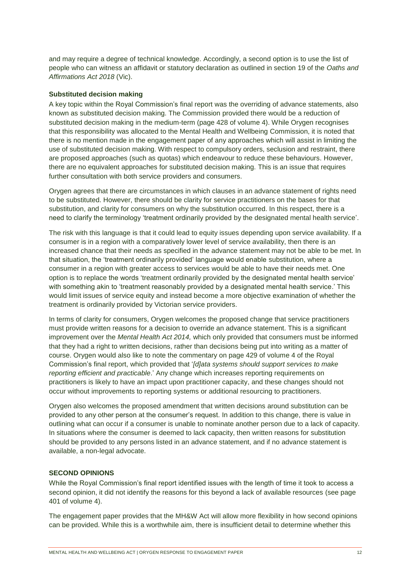and may require a degree of technical knowledge. Accordingly, a second option is to use the list of people who can witness an affidavit or statutory declaration as outlined in section 19 of the *Oaths and Affirmations Act 2018* (Vic).

#### **Substituted decision making**

A key topic within the Royal Commission's final report was the overriding of advance statements, also known as substituted decision making. The Commission provided there would be a reduction of substituted decision making in the medium-term (page 428 of volume 4). While Orygen recognises that this responsibility was allocated to the Mental Health and Wellbeing Commission, it is noted that there is no mention made in the engagement paper of any approaches which will assist in limiting the use of substituted decision making. With respect to compulsory orders, seclusion and restraint, there are proposed approaches (such as quotas) which endeavour to reduce these behaviours. However, there are no equivalent approaches for substituted decision making. This is an issue that requires further consultation with both service providers and consumers.

Orygen agrees that there are circumstances in which clauses in an advance statement of rights need to be substituted. However, there should be clarity for service practitioners on the bases for that substitution, and clarity for consumers on why the substitution occurred. In this respect, there is a need to clarify the terminology 'treatment ordinarily provided by the designated mental health service'.

The risk with this language is that it could lead to equity issues depending upon service availability. If a consumer is in a region with a comparatively lower level of service availability, then there is an increased chance that their needs as specified in the advance statement may not be able to be met. In that situation, the 'treatment ordinarily provided' language would enable substitution, where a consumer in a region with greater access to services would be able to have their needs met. One option is to replace the words 'treatment ordinarily provided by the designated mental health service' with something akin to 'treatment reasonably provided by a designated mental health service.' This would limit issues of service equity and instead become a more objective examination of whether the treatment is ordinarily provided by Victorian service providers.

In terms of clarity for consumers, Orygen welcomes the proposed change that service practitioners must provide written reasons for a decision to override an advance statement. This is a significant improvement over the *Mental Health Act 2014,* which only provided that consumers must be informed that they had a right to written decisions, rather than decisions being put into writing as a matter of course. Orygen would also like to note the commentary on page 429 of volume 4 of the Royal Commission's final report, which provided that '*[d]ata systems should support services to make reporting efficient and practicable*.' Any change which increases reporting requirements on practitioners is likely to have an impact upon practitioner capacity, and these changes should not occur without improvements to reporting systems or additional resourcing to practitioners.

Orygen also welcomes the proposed amendment that written decisions around substitution can be provided to any other person at the consumer's request. In addition to this change, there is value in outlining what can occur if a consumer is unable to nominate another person due to a lack of capacity. In situations where the consumer is deemed to lack capacity, then written reasons for substitution should be provided to any persons listed in an advance statement, and if no advance statement is available, a non-legal advocate.

#### **SECOND OPINIONS**

While the Royal Commission's final report identified issues with the length of time it took to access a second opinion, it did not identify the reasons for this beyond a lack of available resources (see page 401 of volume 4).

The engagement paper provides that the MH&W Act will allow more flexibility in how second opinions can be provided. While this is a worthwhile aim, there is insufficient detail to determine whether this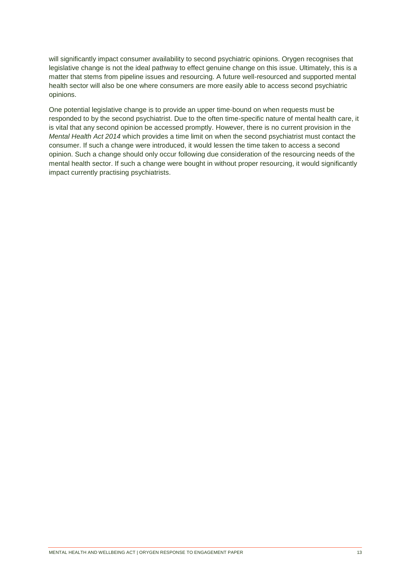will significantly impact consumer availability to second psychiatric opinions. Orygen recognises that legislative change is not the ideal pathway to effect genuine change on this issue. Ultimately, this is a matter that stems from pipeline issues and resourcing. A future well-resourced and supported mental health sector will also be one where consumers are more easily able to access second psychiatric opinions.

One potential legislative change is to provide an upper time-bound on when requests must be responded to by the second psychiatrist. Due to the often time-specific nature of mental health care, it is vital that any second opinion be accessed promptly. However, there is no current provision in the *Mental Health Act 2014* which provides a time limit on when the second psychiatrist must contact the consumer. If such a change were introduced, it would lessen the time taken to access a second opinion. Such a change should only occur following due consideration of the resourcing needs of the mental health sector. If such a change were bought in without proper resourcing, it would significantly impact currently practising psychiatrists.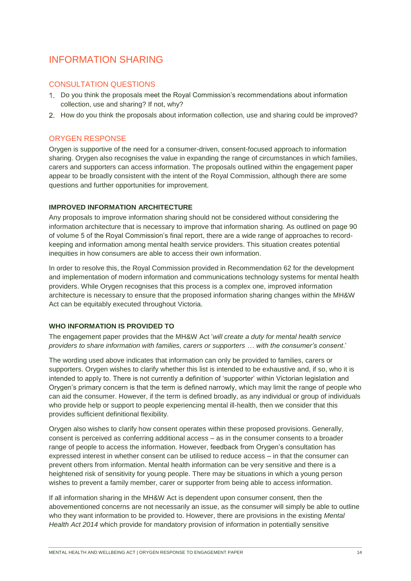# <span id="page-13-0"></span>INFORMATION SHARING

# CONSULTATION QUESTIONS

- Do you think the proposals meet the Royal Commission's recommendations about information collection, use and sharing? If not, why?
- 2. How do you think the proposals about information collection, use and sharing could be improved?

# ORYGEN RESPONSE

Orygen is supportive of the need for a consumer-driven, consent-focused approach to information sharing. Orygen also recognises the value in expanding the range of circumstances in which families, carers and supporters can access information. The proposals outlined within the engagement paper appear to be broadly consistent with the intent of the Royal Commission, although there are some questions and further opportunities for improvement.

## **IMPROVED INFORMATION ARCHITECTURE**

Any proposals to improve information sharing should not be considered without considering the information architecture that is necessary to improve that information sharing. As outlined on page 90 of volume 5 of the Royal Commission's final report, there are a wide range of approaches to recordkeeping and information among mental health service providers. This situation creates potential inequities in how consumers are able to access their own information.

In order to resolve this, the Royal Commission provided in Recommendation 62 for the development and implementation of modern information and communications technology systems for mental health providers. While Orygen recognises that this process is a complex one, improved information architecture is necessary to ensure that the proposed information sharing changes within the MH&W Act can be equitably executed throughout Victoria.

## **WHO INFORMATION IS PROVIDED TO**

The engagement paper provides that the MH&W Act '*will create a duty for mental health service providers to share information with families, carers or supporters … with the consumer's consent*.'

The wording used above indicates that information can only be provided to families, carers or supporters. Orygen wishes to clarify whether this list is intended to be exhaustive and, if so, who it is intended to apply to. There is not currently a definition of 'supporter' within Victorian legislation and Orygen's primary concern is that the term is defined narrowly, which may limit the range of people who can aid the consumer. However, if the term is defined broadly, as any individual or group of individuals who provide help or support to people experiencing mental ill-health, then we consider that this provides sufficient definitional flexibility.

Orygen also wishes to clarify how consent operates within these proposed provisions. Generally, consent is perceived as conferring additional access – as in the consumer consents to a broader range of people to access the information. However, feedback from Orygen's consultation has expressed interest in whether consent can be utilised to reduce access – in that the consumer can prevent others from information. Mental health information can be very sensitive and there is a heightened risk of sensitivity for young people. There may be situations in which a young person wishes to prevent a family member, carer or supporter from being able to access information.

If all information sharing in the MH&W Act is dependent upon consumer consent, then the abovementioned concerns are not necessarily an issue, as the consumer will simply be able to outline who they want information to be provided to. However, there are provisions in the existing *Mental Health Act 2014* which provide for mandatory provision of information in potentially sensitive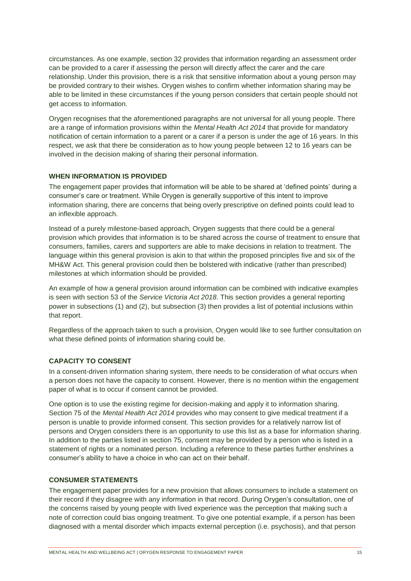circumstances. As one example, section 32 provides that information regarding an assessment order can be provided to a carer if assessing the person will directly affect the carer and the care relationship. Under this provision, there is a risk that sensitive information about a young person may be provided contrary to their wishes. Orygen wishes to confirm whether information sharing may be able to be limited in these circumstances if the young person considers that certain people should not get access to information.

Orygen recognises that the aforementioned paragraphs are not universal for all young people. There are a range of information provisions within the *Mental Health Act 2014* that provide for mandatory notification of certain information to a parent or a carer if a person is under the age of 16 years. In this respect, we ask that there be consideration as to how young people between 12 to 16 years can be involved in the decision making of sharing their personal information.

#### **WHEN INFORMATION IS PROVIDED**

The engagement paper provides that information will be able to be shared at 'defined points' during a consumer's care or treatment. While Orygen is generally supportive of this intent to improve information sharing, there are concerns that being overly prescriptive on defined points could lead to an inflexible approach.

Instead of a purely milestone-based approach, Orygen suggests that there could be a general provision which provides that information is to be shared across the course of treatment to ensure that consumers, families, carers and supporters are able to make decisions in relation to treatment. The language within this general provision is akin to that within the proposed principles five and six of the MH&W Act. This general provision could then be bolstered with indicative (rather than prescribed) milestones at which information should be provided.

An example of how a general provision around information can be combined with indicative examples is seen with section 53 of the *Service Victoria Act 2018*. This section provides a general reporting power in subsections (1) and (2), but subsection (3) then provides a list of potential inclusions within that report.

Regardless of the approach taken to such a provision, Orygen would like to see further consultation on what these defined points of information sharing could be.

## **CAPACITY TO CONSENT**

In a consent-driven information sharing system, there needs to be consideration of what occurs when a person does not have the capacity to consent. However, there is no mention within the engagement paper of what is to occur if consent cannot be provided.

One option is to use the existing regime for decision-making and apply it to information sharing. Section 75 of the *Mental Health Act 2014* provides who may consent to give medical treatment if a person is unable to provide informed consent. This section provides for a relatively narrow list of persons and Orygen considers there is an opportunity to use this list as a base for information sharing. In addition to the parties listed in section 75, consent may be provided by a person who is listed in a statement of rights or a nominated person. Including a reference to these parties further enshrines a consumer's ability to have a choice in who can act on their behalf.

#### **CONSUMER STATEMENTS**

The engagement paper provides for a new provision that allows consumers to include a statement on their record if they disagree with any information in that record. During Orygen's consultation, one of the concerns raised by young people with lived experience was the perception that making such a note of correction could bias ongoing treatment. To give one potential example, if a person has been diagnosed with a mental disorder which impacts external perception (i.e. psychosis), and that person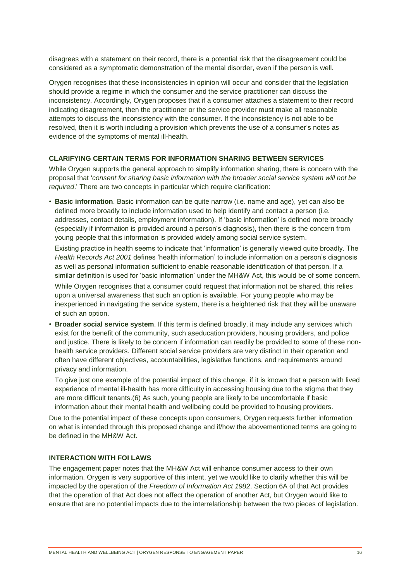disagrees with a statement on their record, there is a potential risk that the disagreement could be considered as a symptomatic demonstration of the mental disorder, even if the person is well.

Orygen recognises that these inconsistencies in opinion will occur and consider that the legislation should provide a regime in which the consumer and the service practitioner can discuss the inconsistency. Accordingly, Orygen proposes that if a consumer attaches a statement to their record indicating disagreement, then the practitioner or the service provider must make all reasonable attempts to discuss the inconsistency with the consumer. If the inconsistency is not able to be resolved, then it is worth including a provision which prevents the use of a consumer's notes as evidence of the symptoms of mental ill-health.

#### **CLARIFYING CERTAIN TERMS FOR INFORMATION SHARING BETWEEN SERVICES**

While Orygen supports the general approach to simplify information sharing, there is concern with the proposal that '*consent for sharing basic information with the broader social service system will not be required*.' There are two concepts in particular which require clarification:

• **Basic information**. Basic information can be quite narrow (i.e. name and age), yet can also be defined more broadly to include information used to help identify and contact a person (i.e. addresses, contact details, employment information). If 'basic information' is defined more broadly (especially if information is provided around a person's diagnosis), then there is the concern from young people that this information is provided widely among social service system.

Existing practice in health seems to indicate that 'information' is generally viewed quite broadly. The *Health Records Act 2001* defines 'health information' to include information on a person's diagnosis as well as personal information sufficient to enable reasonable identification of that person. If a similar definition is used for 'basic information' under the MH&W Act, this would be of some concern.

While Orygen recognises that a consumer could request that information not be shared, this relies upon a universal awareness that such an option is available. For young people who may be inexperienced in navigating the service system, there is a heightened risk that they will be unaware of such an option.

• **Broader social service system**. If this term is defined broadly, it may include any services which exist for the benefit of the community, such aseducation providers, housing providers, and police and justice. There is likely to be concern if information can readily be provided to some of these nonhealth service providers. Different social service providers are very distinct in their operation and often have different objectives, accountabilities, legislative functions, and requirements around privacy and information.

To give just one example of the potential impact of this change, if it is known that a person with lived experience of mental ill-health has more difficulty in accessing housing due to the stigma that they are more difficult tenants.(6) As such, young people are likely to be uncomfortable if basic information about their mental health and wellbeing could be provided to housing providers.

Due to the potential impact of these concepts upon consumers, Orygen requests further information on what is intended through this proposed change and if/how the abovementioned terms are going to be defined in the MH&W Act.

## **INTERACTION WITH FOI LAWS**

<span id="page-15-0"></span>The engagement paper notes that the MH&W Act will enhance consumer access to their own information. Orygen is very supportive of this intent, yet we would like to clarify whether this will be impacted by the operation of the *Freedom of Information Act 1982*. Section 6A of that Act provides that the operation of that Act does not affect the operation of another Act, but Orygen would like to ensure that are no potential impacts due to the interrelationship between the two pieces of legislation.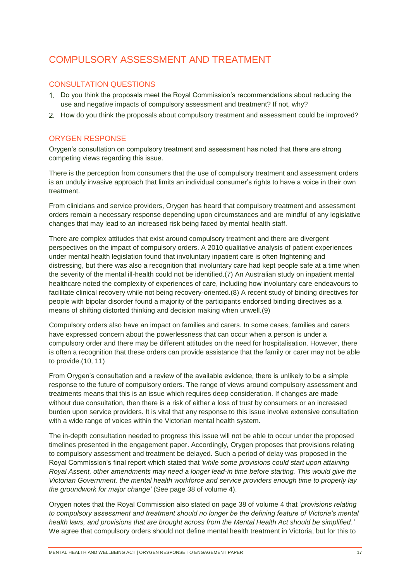# COMPULSORY ASSESSMENT AND TREATMENT

# CONSULTATION QUESTIONS

- Do you think the proposals meet the Royal Commission's recommendations about reducing the use and negative impacts of compulsory assessment and treatment? If not, why?
- 2. How do you think the proposals about compulsory treatment and assessment could be improved?

## ORYGEN RESPONSE

Orygen's consultation on compulsory treatment and assessment has noted that there are strong competing views regarding this issue.

There is the perception from consumers that the use of compulsory treatment and assessment orders is an unduly invasive approach that limits an individual consumer's rights to have a voice in their own treatment.

From clinicians and service providers, Orygen has heard that compulsory treatment and assessment orders remain a necessary response depending upon circumstances and are mindful of any legislative changes that may lead to an increased risk being faced by mental health staff.

There are complex attitudes that exist around compulsory treatment and there are divergent perspectives on the impact of compulsory orders. A 2010 qualitative analysis of patient experiences under mental health legislation found that involuntary inpatient care is often frightening and distressing, but there was also a recognition that involuntary care had kept people safe at a time when the severity of the mental ill-health could not be identified.(7) An Australian study on inpatient mental healthcare noted the complexity of experiences of care, including how involuntary care endeavours to facilitate clinical recovery while not being recovery-oriented.(8) A recent study of binding directives for people with bipolar disorder found a majority of the participants endorsed binding directives as a means of shifting distorted thinking and decision making when unwell.(9)

Compulsory orders also have an impact on families and carers. In some cases, families and carers have expressed concern about the powerlessness that can occur when a person is under a compulsory order and there may be different attitudes on the need for hospitalisation. However, there is often a recognition that these orders can provide assistance that the family or carer may not be able to provide.(10, 11)

From Orygen's consultation and a review of the available evidence, there is unlikely to be a simple response to the future of compulsory orders. The range of views around compulsory assessment and treatments means that this is an issue which requires deep consideration. If changes are made without due consultation, then there is a risk of either a loss of trust by consumers or an increased burden upon service providers. It is vital that any response to this issue involve extensive consultation with a wide range of voices within the Victorian mental health system.

The in-depth consultation needed to progress this issue will not be able to occur under the proposed timelines presented in the engagement paper. Accordingly, Orygen proposes that provisions relating to compulsory assessment and treatment be delayed. Such a period of delay was proposed in the Royal Commission's final report which stated that '*while some provisions could start upon attaining Royal Assent, other amendments may need a longer lead-in time before starting. This would give the Victorian Government, the mental health workforce and service providers enough time to properly lay the groundwork for major change'* (See page 38 of volume 4).

Orygen notes that the Royal Commission also stated on page 38 of volume 4 that '*provisions relating to compulsory assessment and treatment should no longer be the defining feature of Victoria's mental health laws, and provisions that are brought across from the Mental Health Act should be simplified.'* We agree that compulsory orders should not define mental health treatment in Victoria, but for this to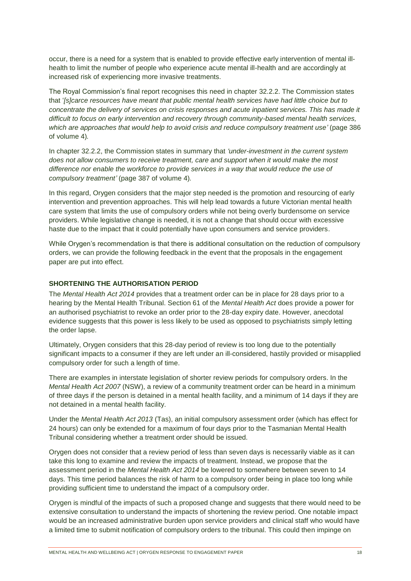occur, there is a need for a system that is enabled to provide effective early intervention of mental illhealth to limit the number of people who experience acute mental ill-health and are accordingly at increased risk of experiencing more invasive treatments.

The Royal Commission's final report recognises this need in chapter 32.2.2. The Commission states that '*[s]carce resources have meant that public mental health services have had little choice but to concentrate the delivery of services on crisis responses and acute inpatient services. This has made it difficult to focus on early intervention and recovery through community-based mental health services, which are approaches that would help to avoid crisis and reduce compulsory treatment use'* (page 386 of volume 4)*.*

In chapter 32.2.2, the Commission states in summary that *'under-investment in the current system does not allow consumers to receive treatment, care and support when it would make the most difference nor enable the workforce to provide services in a way that would reduce the use of compulsory treatment'* (page 387 of volume 4)*.*

In this regard, Orygen considers that the major step needed is the promotion and resourcing of early intervention and prevention approaches. This will help lead towards a future Victorian mental health care system that limits the use of compulsory orders while not being overly burdensome on service providers. While legislative change is needed, it is not a change that should occur with excessive haste due to the impact that it could potentially have upon consumers and service providers.

While Orygen's recommendation is that there is additional consultation on the reduction of compulsory orders, we can provide the following feedback in the event that the proposals in the engagement paper are put into effect.

### **SHORTENING THE AUTHORISATION PERIOD**

The *Mental Health Act 2014* provides that a treatment order can be in place for 28 days prior to a hearing by the Mental Health Tribunal. Section 61 of the *Mental Health Act* does provide a power for an authorised psychiatrist to revoke an order prior to the 28-day expiry date. However, anecdotal evidence suggests that this power is less likely to be used as opposed to psychiatrists simply letting the order lapse.

Ultimately, Orygen considers that this 28-day period of review is too long due to the potentially significant impacts to a consumer if they are left under an ill-considered, hastily provided or misapplied compulsory order for such a length of time.

There are examples in interstate legislation of shorter review periods for compulsory orders. In the *Mental Health Act 2007* (NSW), a review of a community treatment order can be heard in a minimum of three days if the person is detained in a mental health facility, and a minimum of 14 days if they are not detained in a mental health facility.

Under the *Mental Health Act 2013* (Tas), an initial compulsory assessment order (which has effect for 24 hours) can only be extended for a maximum of four days prior to the Tasmanian Mental Health Tribunal considering whether a treatment order should be issued.

Orygen does not consider that a review period of less than seven days is necessarily viable as it can take this long to examine and review the impacts of treatment. Instead, we propose that the assessment period in the *Mental Health Act 2014* be lowered to somewhere between seven to 14 days. This time period balances the risk of harm to a compulsory order being in place too long while providing sufficient time to understand the impact of a compulsory order.

Orygen is mindful of the impacts of such a proposed change and suggests that there would need to be extensive consultation to understand the impacts of shortening the review period. One notable impact would be an increased administrative burden upon service providers and clinical staff who would have a limited time to submit notification of compulsory orders to the tribunal. This could then impinge on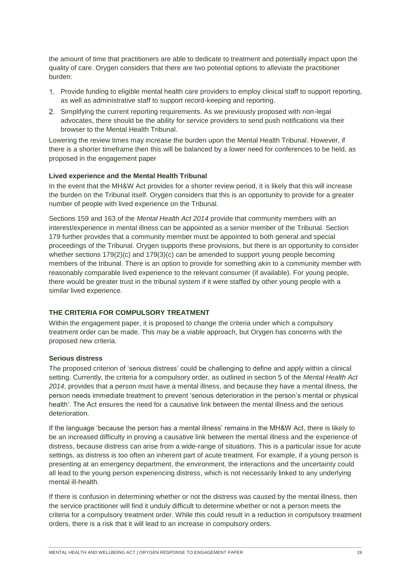the amount of time that practitioners are able to dedicate to treatment and potentially impact upon the quality of care. Orygen considers that there are two potential options to alleviate the practitioner burden:

- Provide funding to eligible mental health care providers to employ clinical staff to support reporting, as well as administrative staff to support record-keeping and reporting.
- Simplifying the current reporting requirements. As we previously proposed with non-legal advocates, there should be the ability for service providers to send push notifications via their browser to the Mental Health Tribunal.

Lowering the review times may increase the burden upon the Mental Health Tribunal. However, if there is a shorter timeframe then this will be balanced by a lower need for conferences to be held, as proposed in the engagement paper

#### **Lived experience and the Mental Health Tribunal**

In the event that the MH&W Act provides for a shorter review period, it is likely that this will increase the burden on the Tribunal itself. Orygen considers that this is an opportunity to provide for a greater number of people with lived experience on the Tribunal.

Sections 159 and 163 of the *Mental Health Act 2014* provide that community members with an interest/experience in mental illness can be appointed as a senior member of the Tribunal. Section 179 further provides that a community member must be appointed to both general and special proceedings of the Tribunal. Orygen supports these provisions, but there is an opportunity to consider whether sections 179(2)(c) and 179(3)(c) can be amended to support young people becoming members of the tribunal. There is an option to provide for something akin to a community member with reasonably comparable lived experience to the relevant consumer (if available). For young people, there would be greater trust in the tribunal system if it were staffed by other young people with a similar lived experience.

### **THE CRITERIA FOR COMPULSORY TREATMENT**

Within the engagement paper, it is proposed to change the criteria under which a compulsory treatment order can be made. This may be a viable approach, but Orygen has concerns with the proposed new criteria.

#### **Serious distress**

The proposed criterion of 'serious distress' could be challenging to define and apply within a clinical setting. Currently, the criteria for a compulsory order, as outlined in section 5 of the *Mental Health Act 2014*, provides that a person must have a mental illness, and because they have a mental illness, the person needs immediate treatment to prevent 'serious deterioration in the person's mental or physical health'. The Act ensures the need for a causative link between the mental illness and the serious deterioration.

If the language 'because the person has a mental illness' remains in the MH&W Act, there is likely to be an increased difficulty in proving a causative link between the mental illness and the experience of distress, because distress can arise from a wide-range of situations. This is a particular issue for acute settings, as distress is too often an inherent part of acute treatment. For example, if a young person is presenting at an emergency department, the environment, the interactions and the uncertainty could all lead to the young person experiencing distress, which is not necessarily linked to any underlying mental ill-health.

If there is confusion in determining whether or not the distress was caused by the mental illness, then the service practitioner will find it unduly difficult to determine whether or not a person meets the criteria for a compulsory treatment order. While this could result in a reduction in compulsory treatment orders, there is a risk that it will lead to an increase in compulsory orders.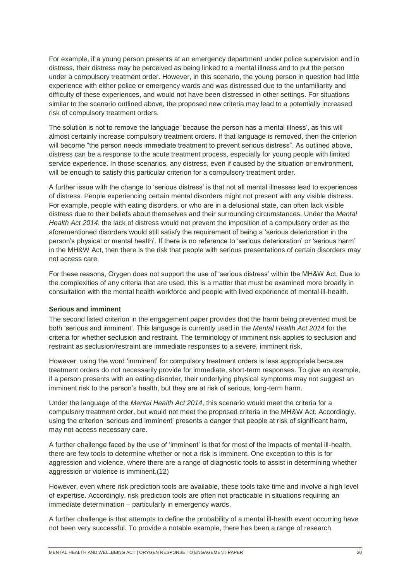For example, if a young person presents at an emergency department under police supervision and in distress, their distress may be perceived as being linked to a mental illness and to put the person under a compulsory treatment order. However, in this scenario, the young person in question had little experience with either police or emergency wards and was distressed due to the unfamiliarity and difficulty of these experiences, and would not have been distressed in other settings. For situations similar to the scenario outlined above, the proposed new criteria may lead to a potentially increased risk of compulsory treatment orders.

The solution is not to remove the language 'because the person has a mental illness', as this will almost certainly increase compulsory treatment orders. If that language is removed, then the criterion will become "the person needs immediate treatment to prevent serious distress". As outlined above, distress can be a response to the acute treatment process, especially for young people with limited service experience. In those scenarios, any distress, even if caused by the situation or environment, will be enough to satisfy this particular criterion for a compulsory treatment order.

A further issue with the change to 'serious distress' is that not all mental illnesses lead to experiences of distress. People experiencing certain mental disorders might not present with any visible distress. For example, people with eating disorders, or who are in a delusional state, can often lack visible distress due to their beliefs about themselves and their surrounding circumstances. Under the *Mental Health Act 2014*, the lack of distress would not prevent the imposition of a compulsory order as the aforementioned disorders would still satisfy the requirement of being a 'serious deterioration in the person's physical or mental health'. If there is no reference to 'serious deterioration' or 'serious harm' in the MH&W Act, then there is the risk that people with serious presentations of certain disorders may not access care.

For these reasons, Orygen does not support the use of 'serious distress' within the MH&W Act. Due to the complexities of any criteria that are used, this is a matter that must be examined more broadly in consultation with the mental health workforce and people with lived experience of mental ill-health.

#### **Serious and imminent**

The second listed criterion in the engagement paper provides that the harm being prevented must be both 'serious and imminent'. This language is currently used in the *Mental Health Act 2014* for the criteria for whether seclusion and restraint. The terminology of imminent risk applies to seclusion and restraint as seclusion/restraint are immediate responses to a severe, imminent risk.

However, using the word 'imminent' for compulsory treatment orders is less appropriate because treatment orders do not necessarily provide for immediate, short-term responses. To give an example, if a person presents with an eating disorder, their underlying physical symptoms may not suggest an imminent risk to the person's health, but they are at risk of serious, long-term harm.

Under the language of the *Mental Health Act 2014*, this scenario would meet the criteria for a compulsory treatment order, but would not meet the proposed criteria in the MH&W Act. Accordingly, using the criterion 'serious and imminent' presents a danger that people at risk of significant harm, may not access necessary care.

A further challenge faced by the use of 'imminent' is that for most of the impacts of mental ill-health, there are few tools to determine whether or not a risk is imminent. One exception to this is for aggression and violence, where there are a range of diagnostic tools to assist in determining whether aggression or violence is imminent.(12)

However, even where risk prediction tools are available, these tools take time and involve a high level of expertise. Accordingly, risk prediction tools are often not practicable in situations requiring an immediate determination – particularly in emergency wards.

A further challenge is that attempts to define the probability of a mental ill-health event occurring have not been very successful. To provide a notable example, there has been a range of research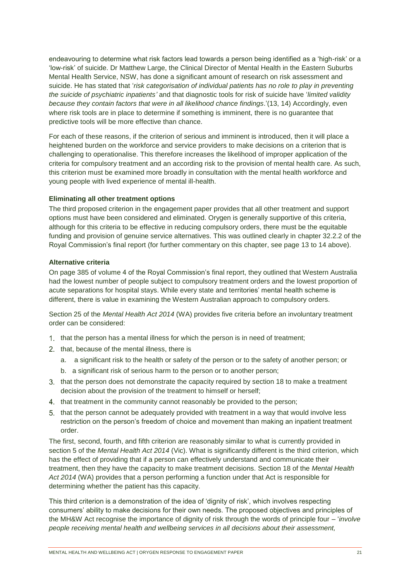endeavouring to determine what risk factors lead towards a person being identified as a 'high-risk' or a 'low-risk' of suicide. Dr Matthew Large, the Clinical Director of Mental Health in the Eastern Suburbs Mental Health Service, NSW, has done a significant amount of research on risk assessment and suicide. He has stated that '*risk categorisation of individual patients has no role to play in preventing the suicide of psychiatric inpatients'* and that diagnostic tools for risk of suicide have '*limited validity because they contain factors that were in all likelihood chance findings*.'(13, 14) Accordingly, even where risk tools are in place to determine if something is imminent, there is no guarantee that predictive tools will be more effective than chance.

For each of these reasons, if the criterion of serious and imminent is introduced, then it will place a heightened burden on the workforce and service providers to make decisions on a criterion that is challenging to operationalise. This therefore increases the likelihood of improper application of the criteria for compulsory treatment and an according risk to the provision of mental health care. As such, this criterion must be examined more broadly in consultation with the mental health workforce and young people with lived experience of mental ill-health.

#### **Eliminating all other treatment options**

The third proposed criterion in the engagement paper provides that all other treatment and support options must have been considered and eliminated. Orygen is generally supportive of this criteria, although for this criteria to be effective in reducing compulsory orders, there must be the equitable funding and provision of genuine service alternatives. This was outlined clearly in chapter 32.2.2 of the Royal Commission's final report (for further commentary on this chapter, see page 13 to 14 above).

#### **Alternative criteria**

On page 385 of volume 4 of the Royal Commission's final report, they outlined that Western Australia had the lowest number of people subject to compulsory treatment orders and the lowest proportion of acute separations for hospital stays. While every state and territories' mental health scheme is different, there is value in examining the Western Australian approach to compulsory orders.

Section 25 of the *Mental Health Act 2014* (WA) provides five criteria before an involuntary treatment order can be considered:

- 1. that the person has a mental illness for which the person is in need of treatment;
- 2. that, because of the mental illness, there is
	- a. a significant risk to the health or safety of the person or to the safety of another person; or
	- b. a significant risk of serious harm to the person or to another person;
- that the person does not demonstrate the capacity required by section 18 to make a treatment decision about the provision of the treatment to himself or herself;
- 4. that treatment in the community cannot reasonably be provided to the person;
- that the person cannot be adequately provided with treatment in a way that would involve less restriction on the person's freedom of choice and movement than making an inpatient treatment order.

The first, second, fourth, and fifth criterion are reasonably similar to what is currently provided in section 5 of the *Mental Health Act 2014* (Vic). What is significantly different is the third criterion, which has the effect of providing that if a person can effectively understand and communicate their treatment, then they have the capacity to make treatment decisions. Section 18 of the *Mental Health Act 2014* (WA) provides that a person performing a function under that Act is responsible for determining whether the patient has this capacity.

This third criterion is a demonstration of the idea of 'dignity of risk', which involves respecting consumers' ability to make decisions for their own needs. The proposed objectives and principles of the MH&W Act recognise the importance of dignity of risk through the words of principle four – '*involve people receiving mental health and wellbeing services in all decisions about their assessment,*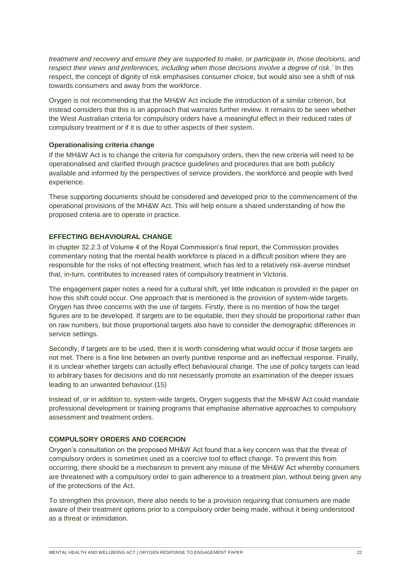*treatment and recovery and ensure they are supported to make, or participate in, those decisions, and respect their views and preferences, including when those decisions involve a degree of risk*.' In this respect, the concept of dignity of risk emphasises consumer choice, but would also see a shift of risk towards consumers and away from the workforce.

Orygen is not recommending that the MH&W Act include the introduction of a similar criterion, but instead considers that this is an approach that warrants further review. It remains to be seen whether the West Australian criteria for compulsory orders have a meaningful effect in their reduced rates of compulsory treatment or if it is due to other aspects of their system.

#### **Operationalising criteria change**

If the MH&W Act is to change the criteria for compulsory orders, then the new criteria will need to be operationalised and clarified through practice guidelines and procedures that are both publicly available and informed by the perspectives of service providers, the workforce and people with lived experience.

These supporting documents should be considered and developed prior to the commencement of the operational provisions of the MH&W Act. This will help ensure a shared understanding of how the proposed criteria are to operate in practice.

#### **EFFECTING BEHAVIOURAL CHANGE**

In chapter 32.2.3 of Volume 4 of the Royal Commission's final report, the Commission provides commentary noting that the mental health workforce is placed in a difficult position where they are responsible for the risks of not effecting treatment, which has led to a relatively risk-averse mindset that, in-turn, contributes to increased rates of compulsory treatment in Victoria.

The engagement paper notes a need for a cultural shift, yet little indication is provided in the paper on how this shift could occur. One approach that is mentioned is the provision of system-wide targets. Orygen has three concerns with the use of targets. Firstly, there is no mention of how the target figures are to be developed. If targets are to be equitable, then they should be proportional rather than on raw numbers, but those proportional targets also have to consider the demographic differences in service settings.

Secondly, if targets are to be used, then it is worth considering what would occur if those targets are not met. There is a fine line between an overly punitive response and an ineffectual response. Finally, it is unclear whether targets can actually effect behavioural change. The use of policy targets can lead to arbitrary bases for decisions and do not necessarily promote an examination of the deeper issues leading to an unwanted behaviour.(15)

Instead of, or in addition to, system-wide targets, Orygen suggests that the MH&W Act could mandate professional development or training programs that emphasise alternative approaches to compulsory assessment and treatment orders.

### **COMPULSORY ORDERS AND COERCION**

Orygen's consultation on the proposed MH&W Act found that a key concern was that the threat of compulsory orders is sometimes used as a coercive tool to effect change. To prevent this from occurring, there should be a mechanism to prevent any misuse of the MH&W Act whereby consumers are threatened with a compulsory order to gain adherence to a treatment plan, without being given any of the protections of the Act.

To strengthen this provision, there also needs to be a provision requiring that consumers are made aware of their treatment options prior to a compulsory order being made, without it being understood as a threat or intimidation.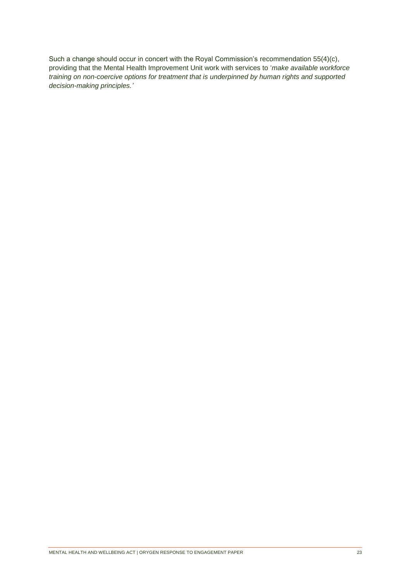<span id="page-22-0"></span>Such a change should occur in concert with the Royal Commission's recommendation 55(4)(c), providing that the Mental Health Improvement Unit work with services to '*make available workforce training on non-coercive options for treatment that is underpinned by human rights and supported decision-making principles.'*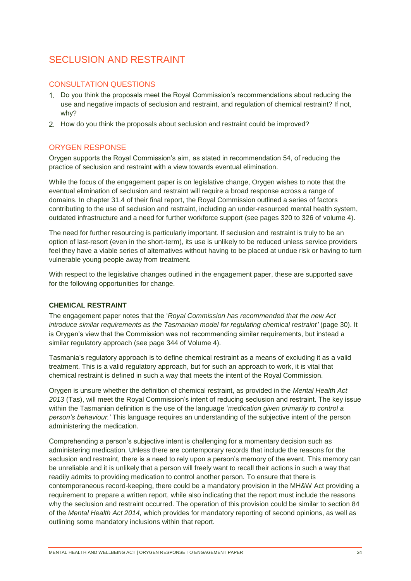# SECLUSION AND RESTRAINT

# CONSULTATION QUESTIONS

- Do you think the proposals meet the Royal Commission's recommendations about reducing the use and negative impacts of seclusion and restraint, and regulation of chemical restraint? If not, why?
- 2. How do you think the proposals about seclusion and restraint could be improved?

## ORYGEN RESPONSE

Orygen supports the Royal Commission's aim, as stated in recommendation 54, of reducing the practice of seclusion and restraint with a view towards eventual elimination.

While the focus of the engagement paper is on legislative change, Orygen wishes to note that the eventual elimination of seclusion and restraint will require a broad response across a range of domains. In chapter 31.4 of their final report, the Royal Commission outlined a series of factors contributing to the use of seclusion and restraint, including an under-resourced mental health system, outdated infrastructure and a need for further workforce support (see pages 320 to 326 of volume 4).

The need for further resourcing is particularly important. If seclusion and restraint is truly to be an option of last-resort (even in the short-term), its use is unlikely to be reduced unless service providers feel they have a viable series of alternatives without having to be placed at undue risk or having to turn vulnerable young people away from treatment.

With respect to the legislative changes outlined in the engagement paper, these are supported save for the following opportunities for change.

## **CHEMICAL RESTRAINT**

The engagement paper notes that the '*Royal Commission has recommended that the new Act introduce similar requirements as the Tasmanian model for regulating chemical restraint'* (page 30). It is Orygen's view that the Commission was not recommending similar requirements, but instead a similar regulatory approach (see page 344 of Volume 4).

Tasmania's regulatory approach is to define chemical restraint as a means of excluding it as a valid treatment. This is a valid regulatory approach, but for such an approach to work, it is vital that chemical restraint is defined in such a way that meets the intent of the Royal Commission.

Orygen is unsure whether the definition of chemical restraint, as provided in the *Mental Health Act 2013* (Tas), will meet the Royal Commission's intent of reducing seclusion and restraint. The key issue within the Tasmanian definition is the use of the language '*medication given primarily to control a person's behaviour.'* This language requires an understanding of the subjective intent of the person administering the medication.

Comprehending a person's subjective intent is challenging for a momentary decision such as administering medication. Unless there are contemporary records that include the reasons for the seclusion and restraint, there is a need to rely upon a person's memory of the event. This memory can be unreliable and it is unlikely that a person will freely want to recall their actions in such a way that readily admits to providing medication to control another person. To ensure that there is contemporaneous record-keeping, there could be a mandatory provision in the MH&W Act providing a requirement to prepare a written report, while also indicating that the report must include the reasons why the seclusion and restraint occurred. The operation of this provision could be similar to section 84 of the *Mental Health Act 2014,* which provides for mandatory reporting of second opinions, as well as outlining some mandatory inclusions within that report.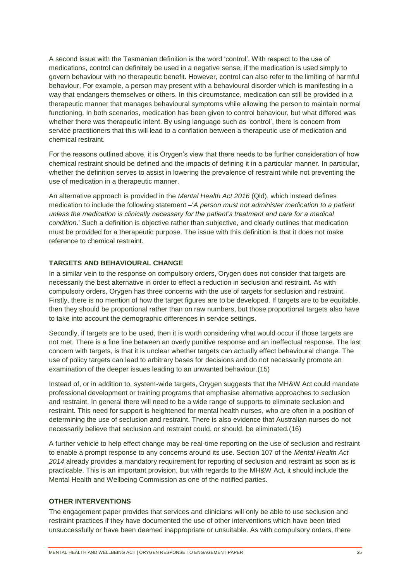A second issue with the Tasmanian definition is the word 'control'. With respect to the use of medications, control can definitely be used in a negative sense, if the medication is used simply to govern behaviour with no therapeutic benefit. However, control can also refer to the limiting of harmful behaviour. For example, a person may present with a behavioural disorder which is manifesting in a way that endangers themselves or others. In this circumstance, medication can still be provided in a therapeutic manner that manages behavioural symptoms while allowing the person to maintain normal functioning. In both scenarios, medication has been given to control behaviour, but what differed was whether there was therapeutic intent. By using language such as 'control', there is concern from service practitioners that this will lead to a conflation between a therapeutic use of medication and chemical restraint.

For the reasons outlined above, it is Orygen's view that there needs to be further consideration of how chemical restraint should be defined and the impacts of defining it in a particular manner. In particular, whether the definition serves to assist in lowering the prevalence of restraint while not preventing the use of medication in a therapeutic manner.

An alternative approach is provided in the *Mental Health Act 2016* (Qld), which instead defines medication to include the following statement –'*A person must not administer medication to a patient unless the medication is clinically necessary for the patient's treatment and care for a medical condition*.' Such a definition is objective rather than subjective, and clearly outlines that medication must be provided for a therapeutic purpose. The issue with this definition is that it does not make reference to chemical restraint.

## **TARGETS AND BEHAVIOURAL CHANGE**

In a similar vein to the response on compulsory orders, Orygen does not consider that targets are necessarily the best alternative in order to effect a reduction in seclusion and restraint. As with compulsory orders, Orygen has three concerns with the use of targets for seclusion and restraint. Firstly, there is no mention of how the target figures are to be developed. If targets are to be equitable, then they should be proportional rather than on raw numbers, but those proportional targets also have to take into account the demographic differences in service settings.

Secondly, if targets are to be used, then it is worth considering what would occur if those targets are not met. There is a fine line between an overly punitive response and an ineffectual response. The last concern with targets, is that it is unclear whether targets can actually effect behavioural change. The use of policy targets can lead to arbitrary bases for decisions and do not necessarily promote an examination of the deeper issues leading to an unwanted behaviour.(15)

Instead of, or in addition to, system-wide targets, Orygen suggests that the MH&W Act could mandate professional development or training programs that emphasise alternative approaches to seclusion and restraint. In general there will need to be a wide range of supports to eliminate seclusion and restraint. This need for support is heightened for mental health nurses, who are often in a position of determining the use of seclusion and restraint. There is also evidence that Australian nurses do not necessarily believe that seclusion and restraint could, or should, be eliminated.(16)

A further vehicle to help effect change may be real-time reporting on the use of seclusion and restraint to enable a prompt response to any concerns around its use. Section 107 of the *Mental Health Act 2014* already provides a mandatory requirement for reporting of seclusion and restraint as soon as is practicable. This is an important provision, but with regards to the MH&W Act, it should include the Mental Health and Wellbeing Commission as one of the notified parties.

### **OTHER INTERVENTIONS**

The engagement paper provides that services and clinicians will only be able to use seclusion and restraint practices if they have documented the use of other interventions which have been tried unsuccessfully or have been deemed inappropriate or unsuitable. As with compulsory orders, there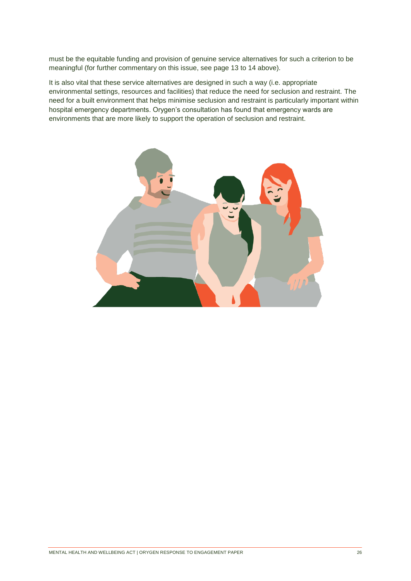must be the equitable funding and provision of genuine service alternatives for such a criterion to be meaningful (for further commentary on this issue, see page 13 to 14 above).

It is also vital that these service alternatives are designed in such a way (i.e. appropriate environmental settings, resources and facilities) that reduce the need for seclusion and restraint. The need for a built environment that helps minimise seclusion and restraint is particularly important within hospital emergency departments. Orygen's consultation has found that emergency wards are environments that are more likely to support the operation of seclusion and restraint.

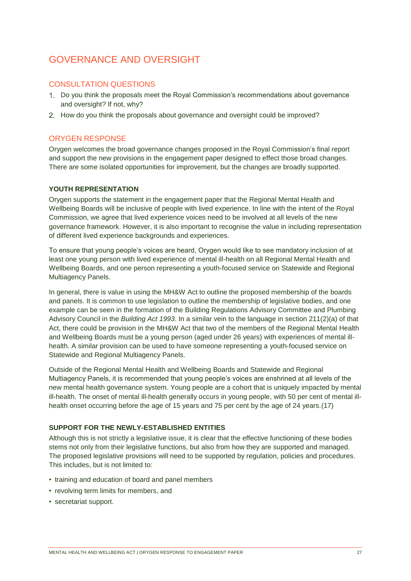# GOVERNANCE AND OVERSIGHT

## CONSULTATION QUESTIONS

- Do you think the proposals meet the Royal Commission's recommendations about governance and oversight? If not, why?
- 2. How do you think the proposals about governance and oversight could be improved?

# ORYGEN RESPONSE

Orygen welcomes the broad governance changes proposed in the Royal Commission's final report and support the new provisions in the engagement paper designed to effect those broad changes. There are some isolated opportunities for improvement, but the changes are broadly supported.

## **YOUTH REPRESENTATION**

Orygen supports the statement in the engagement paper that the Regional Mental Health and Wellbeing Boards will be inclusive of people with lived experience. In line with the intent of the Royal Commission, we agree that lived experience voices need to be involved at all levels of the new governance framework. However, it is also important to recognise the value in including representation of different lived experience backgrounds and experiences.

To ensure that young people's voices are heard, Orygen would like to see mandatory inclusion of at least one young person with lived experience of mental ill-health on all Regional Mental Health and Wellbeing Boards, and one person representing a youth-focused service on Statewide and Regional Multiagency Panels.

In general, there is value in using the MH&W Act to outline the proposed membership of the boards and panels. It is common to use legislation to outline the membership of legislative bodies, and one example can be seen in the formation of the Building Regulations Advisory Committee and Plumbing Advisory Council in the *Building Act 1993*. In a similar vein to the language in section 211(2)(a) of that Act, there could be provision in the MH&W Act that two of the members of the Regional Mental Health and Wellbeing Boards must be a young person (aged under 26 years) with experiences of mental illhealth. A similar provision can be used to have someone representing a youth-focused service on Statewide and Regional Multiagency Panels.

Outside of the Regional Mental Health and Wellbeing Boards and Statewide and Regional Multiagency Panels, it is recommended that young people's voices are enshrined at all levels of the new mental health governance system. Young people are a cohort that is uniquely impacted by mental ill-health. The onset of mental ill-health generally occurs in young people, with 50 per cent of mental illhealth onset occurring before the age of 15 years and 75 per cent by the age of 24 years.(17)

## **SUPPORT FOR THE NEWLY-ESTABLISHED ENTITIES**

Although this is not strictly a legislative issue, it is clear that the effective functioning of these bodies stems not only from their legislative functions, but also from how they are supported and managed. The proposed legislative provisions will need to be supported by regulation, policies and procedures. This includes, but is not limited to:

- training and education of board and panel members
- revolving term limits for members, and
- secretariat support.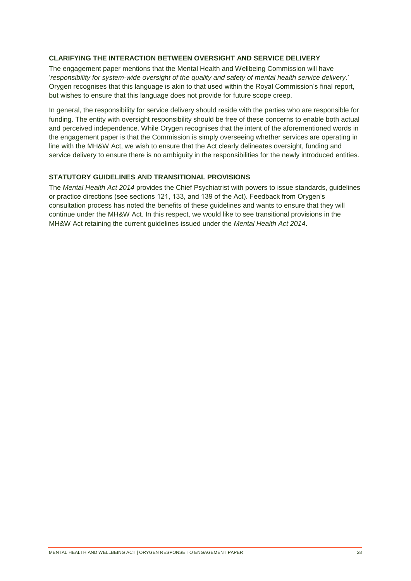### **CLARIFYING THE INTERACTION BETWEEN OVERSIGHT AND SERVICE DELIVERY**

The engagement paper mentions that the Mental Health and Wellbeing Commission will have '*responsibility for system-wide oversight of the quality and safety of mental health service delivery*.' Orygen recognises that this language is akin to that used within the Royal Commission's final report, but wishes to ensure that this language does not provide for future scope creep.

In general, the responsibility for service delivery should reside with the parties who are responsible for funding. The entity with oversight responsibility should be free of these concerns to enable both actual and perceived independence. While Orygen recognises that the intent of the aforementioned words in the engagement paper is that the Commission is simply overseeing whether services are operating in line with the MH&W Act, we wish to ensure that the Act clearly delineates oversight, funding and service delivery to ensure there is no ambiguity in the responsibilities for the newly introduced entities.

## **STATUTORY GUIDELINES AND TRANSITIONAL PROVISIONS**

The *Mental Health Act 2014* provides the Chief Psychiatrist with powers to issue standards, guidelines or practice directions (see sections 121, 133, and 139 of the Act). Feedback from Orygen's consultation process has noted the benefits of these guidelines and wants to ensure that they will continue under the MH&W Act. In this respect, we would like to see transitional provisions in the MH&W Act retaining the current guidelines issued under the *Mental Health Act 2014*.